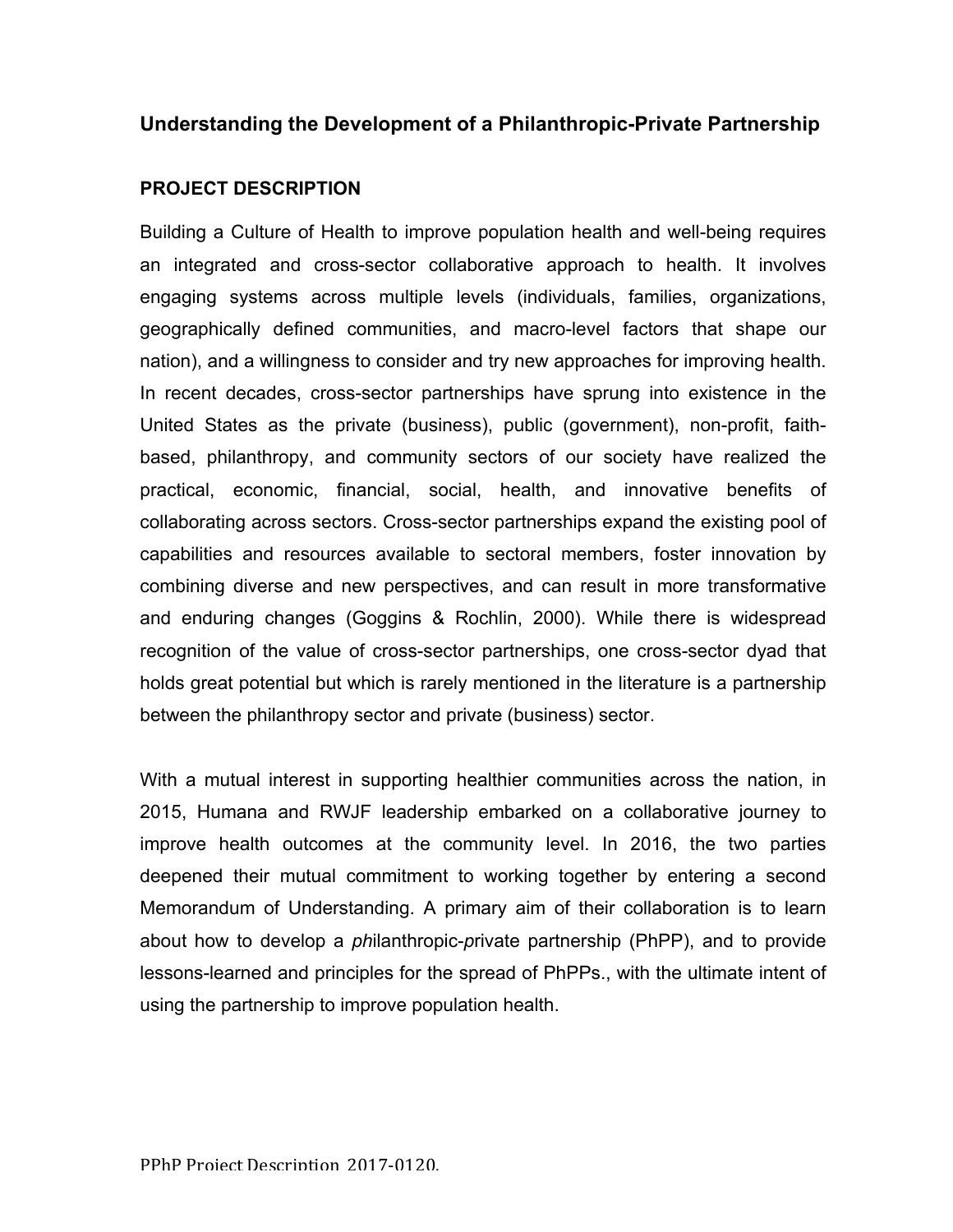## **Understanding the Development of a Philanthropic-Private Partnership**

## **PROJECT DESCRIPTION**

Building a Culture of Health to improve population health and well-being requires an integrated and cross-sector collaborative approach to health. It involves engaging systems across multiple levels (individuals, families, organizations, geographically defined communities, and macro-level factors that shape our nation), and a willingness to consider and try new approaches for improving health. In recent decades, cross-sector partnerships have sprung into existence in the United States as the private (business), public (government), non-profit, faithbased, philanthropy, and community sectors of our society have realized the practical, economic, financial, social, health, and innovative benefits of collaborating across sectors. Cross-sector partnerships expand the existing pool of capabilities and resources available to sectoral members, foster innovation by combining diverse and new perspectives, and can result in more transformative and enduring changes (Goggins & Rochlin, 2000). While there is widespread recognition of the value of cross-sector partnerships, one cross-sector dyad that holds great potential but which is rarely mentioned in the literature is a partnership between the philanthropy sector and private (business) sector.

With a mutual interest in supporting healthier communities across the nation, in 2015, Humana and RWJF leadership embarked on a collaborative journey to improve health outcomes at the community level. In 2016, the two parties deepened their mutual commitment to working together by entering a second Memorandum of Understanding. A primary aim of their collaboration is to learn about how to develop a *ph*ilanthropic-*p*rivate partnership (PhPP), and to provide lessons-learned and principles for the spread of PhPPs., with the ultimate intent of using the partnership to improve population health.